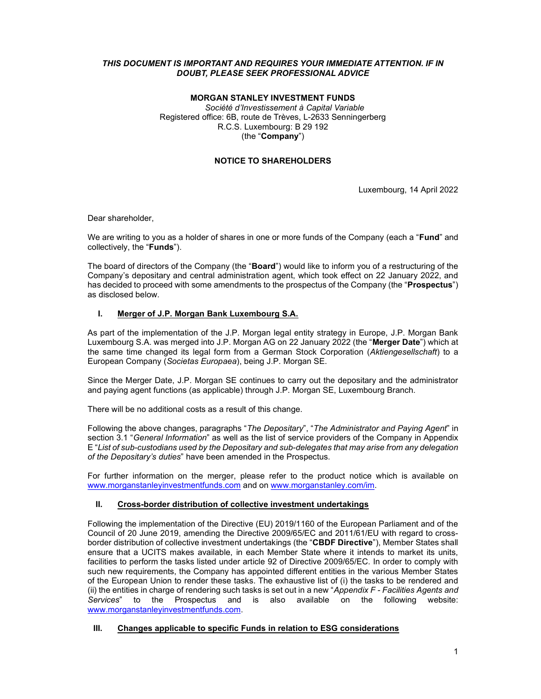## THIS DOCUMENT IS IMPORTANT AND REQUIRES YOUR IMMEDIATE ATTENTION. IF IN DOUBT, PLEASE SEEK PROFESSIONAL ADVICE

## MORGAN STANLEY INVESTMENT FUNDS

Société d'Investissement à Capital Variable Registered office: 6B, route de Trèves, L-2633 Senningerberg R.C.S. Luxembourg: B 29 192 (the "Company")

## NOTICE TO SHAREHOLDERS

Luxembourg, 14 April 2022

Dear shareholder,

We are writing to you as a holder of shares in one or more funds of the Company (each a "**Fund**" and collectively, the "Funds").

The board of directors of the Company (the "**Board**") would like to inform you of a restructuring of the Company's depositary and central administration agent, which took effect on 22 January 2022, and has decided to proceed with some amendments to the prospectus of the Company (the "**Prospectus**") as disclosed below.

## I. Merger of J.P. Morgan Bank Luxembourg S.A.

As part of the implementation of the J.P. Morgan legal entity strategy in Europe, J.P. Morgan Bank Luxembourg S.A. was merged into J.P. Morgan AG on 22 January 2022 (the "Merger Date") which at the same time changed its legal form from a German Stock Corporation (Aktiengesellschaft) to a European Company (Societas Europaea), being J.P. Morgan SE.

Since the Merger Date, J.P. Morgan SE continues to carry out the depositary and the administrator and paying agent functions (as applicable) through J.P. Morgan SE, Luxembourg Branch.

There will be no additional costs as a result of this change.

Following the above changes, paragraphs "The Depositary", "The Administrator and Paying Agent" in section 3.1 "General Information" as well as the list of service providers of the Company in Appendix E "List of sub-custodians used by the Depositary and sub-delegates that may arise from any delegation of the Depositary's duties" have been amended in the Prospectus.

For further information on the merger, please refer to the product notice which is available on www.morganstanleyinvestmentfunds.com and on www.morganstanley.com/im.

## II. Cross-border distribution of collective investment undertakings

Following the implementation of the Directive (EU) 2019/1160 of the European Parliament and of the Council of 20 June 2019, amending the Directive 2009/65/EC and 2011/61/EU with regard to crossborder distribution of collective investment undertakings (the "CBDF Directive"), Member States shall ensure that a UCITS makes available, in each Member State where it intends to market its units, facilities to perform the tasks listed under article 92 of Directive 2009/65/EC. In order to comply with such new requirements, the Company has appointed different entities in the various Member States of the European Union to render these tasks. The exhaustive list of (i) the tasks to be rendered and (ii) the entities in charge of rendering such tasks is set out in a new "Appendix  $F$  - Facilities Agents and Services" to the Prospectus and is also available on the following website: www.morganstanleyinvestmentfunds.com.

## III. Changes applicable to specific Funds in relation to ESG considerations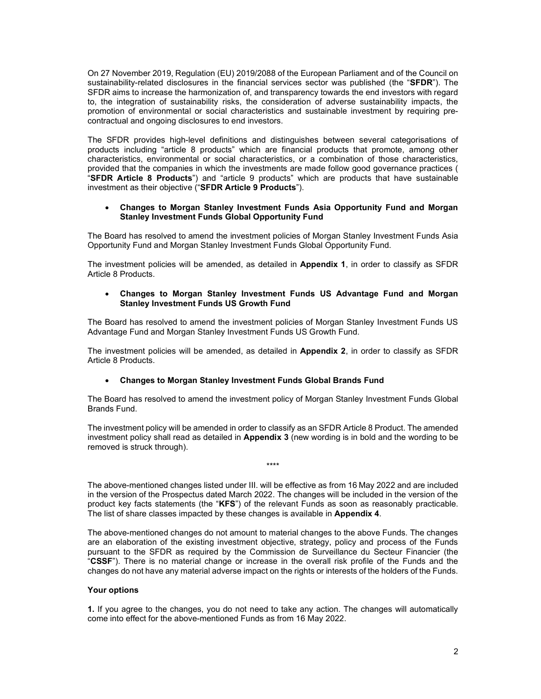On 27 November 2019, Regulation (EU) 2019/2088 of the European Parliament and of the Council on sustainability-related disclosures in the financial services sector was published (the "SFDR"). The SFDR aims to increase the harmonization of, and transparency towards the end investors with regard to, the integration of sustainability risks, the consideration of adverse sustainability impacts, the promotion of environmental or social characteristics and sustainable investment by requiring precontractual and ongoing disclosures to end investors.

The SFDR provides high-level definitions and distinguishes between several categorisations of products including "article 8 products" which are financial products that promote, among other characteristics, environmental or social characteristics, or a combination of those characteristics, provided that the companies in which the investments are made follow good governance practices ( "SFDR Article 8 Products") and "article 9 products" which are products that have sustainable investment as their objective ("SFDR Article 9 Products").

### Changes to Morgan Stanley Investment Funds Asia Opportunity Fund and Morgan Stanley Investment Funds Global Opportunity Fund

The Board has resolved to amend the investment policies of Morgan Stanley Investment Funds Asia Opportunity Fund and Morgan Stanley Investment Funds Global Opportunity Fund.

The investment policies will be amended, as detailed in Appendix 1, in order to classify as SFDR Article 8 Products.

## Changes to Morgan Stanley Investment Funds US Advantage Fund and Morgan Stanley Investment Funds US Growth Fund

The Board has resolved to amend the investment policies of Morgan Stanley Investment Funds US Advantage Fund and Morgan Stanley Investment Funds US Growth Fund.

The investment policies will be amended, as detailed in Appendix 2, in order to classify as SFDR Article 8 Products.

### Changes to Morgan Stanley Investment Funds Global Brands Fund

The Board has resolved to amend the investment policy of Morgan Stanley Investment Funds Global Brands Fund.

The investment policy will be amended in order to classify as an SFDR Article 8 Product. The amended investment policy shall read as detailed in Appendix 3 (new wording is in bold and the wording to be removed is struck through).

\*\*\*\*

The above-mentioned changes listed under III. will be effective as from 16 May 2022 and are included in the version of the Prospectus dated March 2022. The changes will be included in the version of the product key facts statements (the "KFS") of the relevant Funds as soon as reasonably practicable. The list of share classes impacted by these changes is available in Appendix 4.

The above-mentioned changes do not amount to material changes to the above Funds. The changes are an elaboration of the existing investment objective, strategy, policy and process of the Funds pursuant to the SFDR as required by the Commission de Surveillance du Secteur Financier (the "CSSF"). There is no material change or increase in the overall risk profile of the Funds and the changes do not have any material adverse impact on the rights or interests of the holders of the Funds.

### Your options

1. If you agree to the changes, you do not need to take any action. The changes will automatically come into effect for the above-mentioned Funds as from 16 May 2022.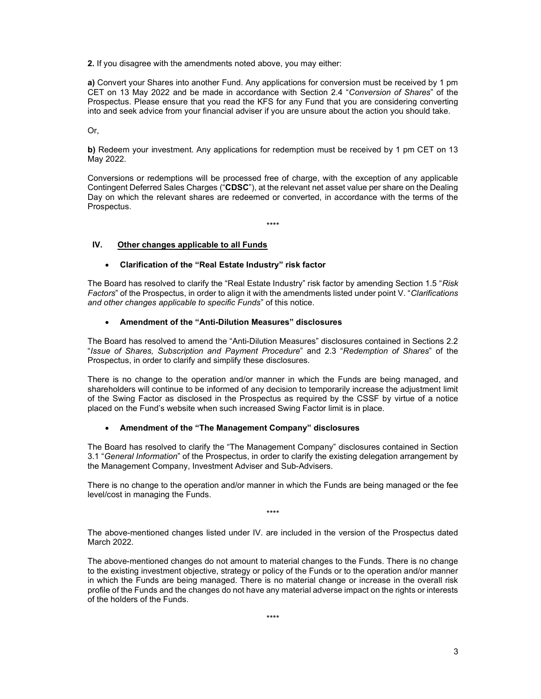2. If you disagree with the amendments noted above, you may either:

a) Convert your Shares into another Fund. Any applications for conversion must be received by 1 pm CET on 13 May 2022 and be made in accordance with Section 2.4 "Conversion of Shares" of the Prospectus. Please ensure that you read the KFS for any Fund that you are considering converting into and seek advice from your financial adviser if you are unsure about the action you should take.

Or,

b) Redeem your investment. Any applications for redemption must be received by 1 pm CET on 13 May 2022.

Conversions or redemptions will be processed free of charge, with the exception of any applicable Contingent Deferred Sales Charges ("CDSC"), at the relevant net asset value per share on the Dealing Day on which the relevant shares are redeemed or converted, in accordance with the terms of the Prospectus.

\*\*\*\*

## IV. Other changes applicable to all Funds

## Clarification of the "Real Estate Industry" risk factor

The Board has resolved to clarify the "Real Estate Industry" risk factor by amending Section 1.5 "Risk Factors" of the Prospectus, in order to align it with the amendments listed under point V. "Clarifications and other changes applicable to specific Funds" of this notice.

### Amendment of the "Anti-Dilution Measures" disclosures

The Board has resolved to amend the "Anti-Dilution Measures" disclosures contained in Sections 2.2 "Issue of Shares, Subscription and Payment Procedure" and 2.3 "Redemption of Shares" of the Prospectus, in order to clarify and simplify these disclosures.

There is no change to the operation and/or manner in which the Funds are being managed, and shareholders will continue to be informed of any decision to temporarily increase the adjustment limit of the Swing Factor as disclosed in the Prospectus as required by the CSSF by virtue of a notice placed on the Fund's website when such increased Swing Factor limit is in place.

## Amendment of the "The Management Company" disclosures

The Board has resolved to clarify the "The Management Company" disclosures contained in Section 3.1 "General Information" of the Prospectus, in order to clarify the existing delegation arrangement by the Management Company, Investment Adviser and Sub-Advisers.

There is no change to the operation and/or manner in which the Funds are being managed or the fee level/cost in managing the Funds.

\*\*\*\*

The above-mentioned changes listed under IV. are included in the version of the Prospectus dated March 2022.

The above-mentioned changes do not amount to material changes to the Funds. There is no change to the existing investment objective, strategy or policy of the Funds or to the operation and/or manner in which the Funds are being managed. There is no material change or increase in the overall risk profile of the Funds and the changes do not have any material adverse impact on the rights or interests of the holders of the Funds.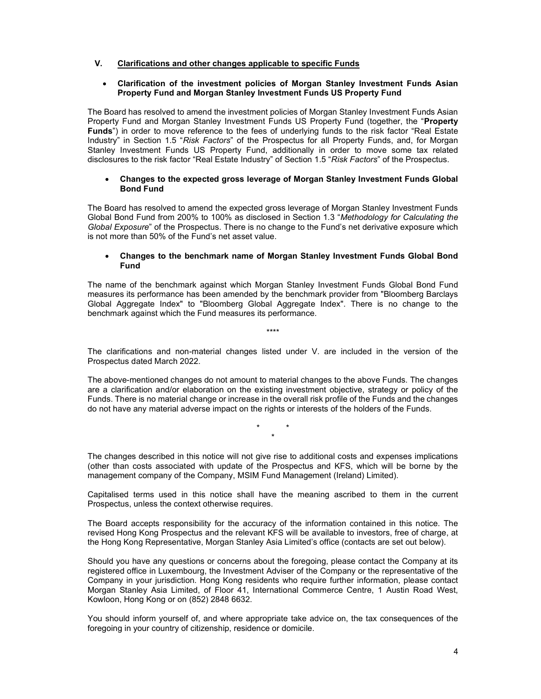## V. Clarifications and other changes applicable to specific Funds

### Clarification of the investment policies of Morgan Stanley Investment Funds Asian Property Fund and Morgan Stanley Investment Funds US Property Fund

The Board has resolved to amend the investment policies of Morgan Stanley Investment Funds Asian Property Fund and Morgan Stanley Investment Funds US Property Fund (together, the "Property Funds") in order to move reference to the fees of underlying funds to the risk factor "Real Estate Industry" in Section 1.5 "Risk Factors" of the Prospectus for all Property Funds, and, for Morgan Stanley Investment Funds US Property Fund, additionally in order to move some tax related disclosures to the risk factor "Real Estate Industry" of Section 1.5 "Risk Factors" of the Prospectus.

#### Changes to the expected gross leverage of Morgan Stanley Investment Funds Global Bond Fund

The Board has resolved to amend the expected gross leverage of Morgan Stanley Investment Funds Global Bond Fund from 200% to 100% as disclosed in Section 1.3 "Methodology for Calculating the Global Exposure" of the Prospectus. There is no change to the Fund's net derivative exposure which is not more than 50% of the Fund's net asset value.

### Changes to the benchmark name of Morgan Stanley Investment Funds Global Bond Fund

The name of the benchmark against which Morgan Stanley Investment Funds Global Bond Fund measures its performance has been amended by the benchmark provider from "Bloomberg Barclays Global Aggregate Index" to "Bloomberg Global Aggregate Index". There is no change to the benchmark against which the Fund measures its performance.

The clarifications and non-material changes listed under V. are included in the version of the Prospectus dated March 2022.

\*\*\*\*

The above-mentioned changes do not amount to material changes to the above Funds. The changes are a clarification and/or elaboration on the existing investment objective, strategy or policy of the Funds. There is no material change or increase in the overall risk profile of the Funds and the changes do not have any material adverse impact on the rights or interests of the holders of the Funds.

> \* \* \*

The changes described in this notice will not give rise to additional costs and expenses implications (other than costs associated with update of the Prospectus and KFS, which will be borne by the management company of the Company, MSIM Fund Management (Ireland) Limited).

Capitalised terms used in this notice shall have the meaning ascribed to them in the current Prospectus, unless the context otherwise requires.

The Board accepts responsibility for the accuracy of the information contained in this notice. The revised Hong Kong Prospectus and the relevant KFS will be available to investors, free of charge, at the Hong Kong Representative, Morgan Stanley Asia Limited's office (contacts are set out below).

Should you have any questions or concerns about the foregoing, please contact the Company at its registered office in Luxembourg, the Investment Adviser of the Company or the representative of the Company in your jurisdiction. Hong Kong residents who require further information, please contact Morgan Stanley Asia Limited, of Floor 41, International Commerce Centre, 1 Austin Road West, Kowloon, Hong Kong or on (852) 2848 6632.

You should inform yourself of, and where appropriate take advice on, the tax consequences of the foregoing in your country of citizenship, residence or domicile.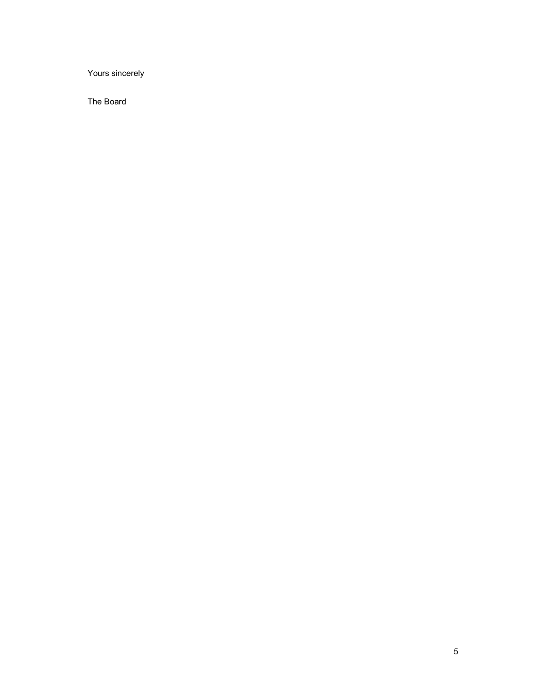Yours sincerely

The Board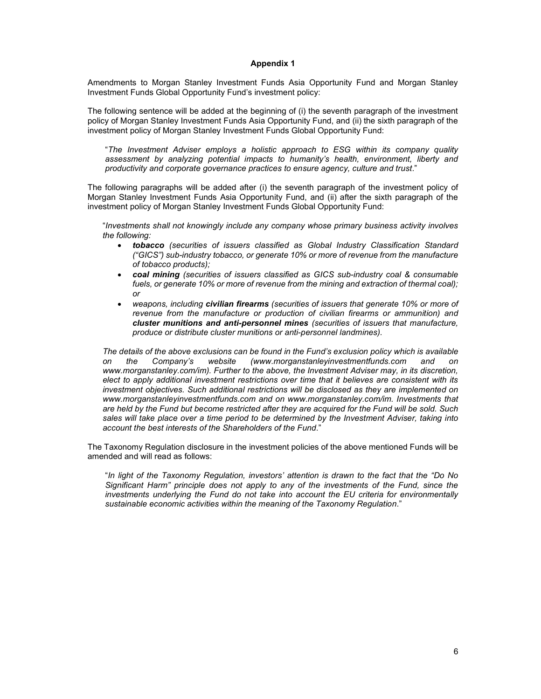Amendments to Morgan Stanley Investment Funds Asia Opportunity Fund and Morgan Stanley Investment Funds Global Opportunity Fund's investment policy:

The following sentence will be added at the beginning of (i) the seventh paragraph of the investment policy of Morgan Stanley Investment Funds Asia Opportunity Fund, and (ii) the sixth paragraph of the investment policy of Morgan Stanley Investment Funds Global Opportunity Fund:

"The Investment Adviser employs a holistic approach to ESG within its company quality assessment by analyzing potential impacts to humanity's health, environment, liberty and productivity and corporate governance practices to ensure agency, culture and trust."

The following paragraphs will be added after (i) the seventh paragraph of the investment policy of Morgan Stanley Investment Funds Asia Opportunity Fund, and (ii) after the sixth paragraph of the investment policy of Morgan Stanley Investment Funds Global Opportunity Fund:

"Investments shall not knowingly include any company whose primary business activity involves the following:

- tobacco (securities of issuers classified as Global Industry Classification Standard ("GICS") sub-industry tobacco, or generate 10% or more of revenue from the manufacture of tobacco products);
- coal mining (securities of issuers classified as GICS sub-industry coal & consumable fuels, or generate 10% or more of revenue from the mining and extraction of thermal coal); or
- weapons, including civilian firearms (securities of issuers that generate 10% or more of revenue from the manufacture or production of civilian firearms or ammunition) and cluster munitions and anti-personnel mines (securities of issuers that manufacture, produce or distribute cluster munitions or anti-personnel landmines).

The details of the above exclusions can be found in the Fund's exclusion policy which is available on the Company's website (www.morganstanleyinvestmentfunds.com and on www.morganstanley.com/im). Further to the above, the Investment Adviser may, in its discretion, elect to apply additional investment restrictions over time that it believes are consistent with its investment objectives. Such additional restrictions will be disclosed as they are implemented on www.morganstanleyinvestmentfunds.com and on www.morganstanley.com/im. Investments that are held by the Fund but become restricted after they are acquired for the Fund will be sold. Such sales will take place over a time period to be determined by the Investment Adviser, taking into account the best interests of the Shareholders of the Fund."

The Taxonomy Regulation disclosure in the investment policies of the above mentioned Funds will be amended and will read as follows:

"In light of the Taxonomy Regulation, investors' attention is drawn to the fact that the "Do No Significant Harm" principle does not apply to any of the investments of the Fund, since the investments underlying the Fund do not take into account the EU criteria for environmentally sustainable economic activities within the meaning of the Taxonomy Regulation."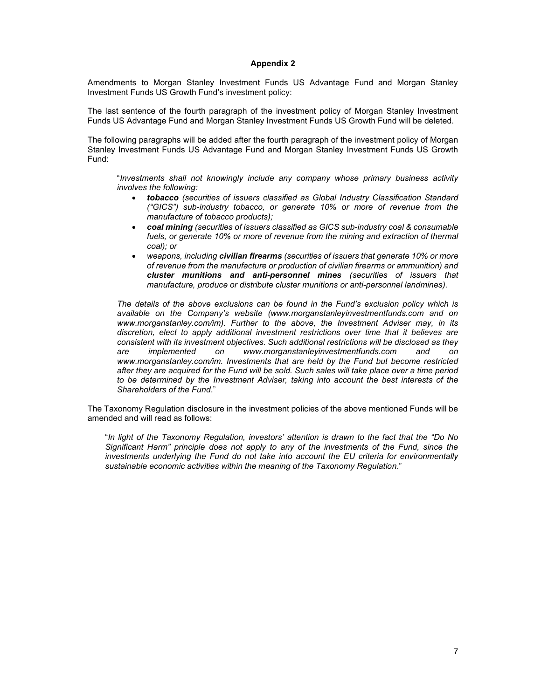Amendments to Morgan Stanley Investment Funds US Advantage Fund and Morgan Stanley Investment Funds US Growth Fund's investment policy:

The last sentence of the fourth paragraph of the investment policy of Morgan Stanley Investment Funds US Advantage Fund and Morgan Stanley Investment Funds US Growth Fund will be deleted.

The following paragraphs will be added after the fourth paragraph of the investment policy of Morgan Stanley Investment Funds US Advantage Fund and Morgan Stanley Investment Funds US Growth Fund:

"Investments shall not knowingly include any company whose primary business activity involves the following:

- tobacco (securities of issuers classified as Global Industry Classification Standard ("GICS") sub-industry tobacco, or generate 10% or more of revenue from the manufacture of tobacco products);
- coal mining (securities of issuers classified as GICS sub-industry coal & consumable fuels, or generate 10% or more of revenue from the mining and extraction of thermal coal); or
- weapons, including civilian firearms (securities of issuers that generate 10% or more of revenue from the manufacture or production of civilian firearms or ammunition) and cluster munitions and anti-personnel mines (securities of issuers that manufacture, produce or distribute cluster munitions or anti-personnel landmines).

The details of the above exclusions can be found in the Fund's exclusion policy which is available on the Company's website (www.morganstanleyinvestmentfunds.com and on www.morganstanley.com/im). Further to the above, the Investment Adviser may, in its discretion, elect to apply additional investment restrictions over time that it believes are consistent with its investment objectives. Such additional restrictions will be disclosed as they are implemented on www.morganstanleyinvestmentfunds.com and on www.morganstanley.com/im. Investments that are held by the Fund but become restricted after they are acquired for the Fund will be sold. Such sales will take place over a time period to be determined by the Investment Adviser, taking into account the best interests of the Shareholders of the Fund."

The Taxonomy Regulation disclosure in the investment policies of the above mentioned Funds will be amended and will read as follows:

"In light of the Taxonomy Regulation, investors' attention is drawn to the fact that the "Do No Significant Harm" principle does not apply to any of the investments of the Fund, since the investments underlying the Fund do not take into account the EU criteria for environmentally sustainable economic activities within the meaning of the Taxonomy Regulation."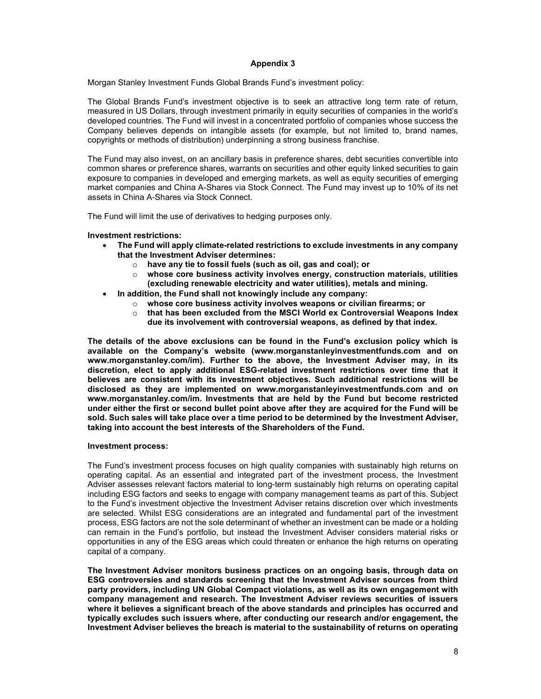Morgan Stanley Investment Funds Global Brands Fund's investment policy:

The Global Brands Fund's investment objective is to seek an attractive long term rate of return, measured in US Dollars, through investment primarily in equity securities of companies in the world's developed countries. The Fund will invest in a concentrated portfolio of companies whose success the Company believes depends on intangible assets (for example, but not limited to, brand names, copyrights or methods of distribution) underpinning a strong business franchise.

The Fund may also invest, on an ancillary basis in preference shares, debt securities convertible into common shares or preference shares, warrants on securities and other equity linked securities to gain exposure to companies in developed and emerging markets, as well as equity securities of emerging market companies and China A-Shares via Stock Connect. The Fund may invest up to 10% of its net assets in China A-Shares via Stock Connect.

The Fund will limit the use of derivatives to hedging purposes only.

### Investment restrictions:

- The Fund will apply climate-related restrictions to exclude investments in any company that the Investment Adviser determines:
	- o have any tie to fossil fuels (such as oil, gas and coal); or
	- $\circ$  whose core business activity involves energy, construction materials, utilities (excluding renewable electricity and water utilities), metals and mining.
- In addition, the Fund shall not knowingly include any company:
	- $\circ$  whose core business activity involves weapons or civilian firearms; or
	- $\circ$  that has been excluded from the MSCI World ex Controversial Weapons Index
		- due its involvement with controversial weapons, as defined by that index.

The details of the above exclusions can be found in the Fund's exclusion policy which is available on the Company's website (www.morganstanleyinvestmentfunds.com and on www.morganstanley.com/im). Further to the above, the Investment Adviser may, in its discretion, elect to apply additional ESG-related investment restrictions over time that it believes are consistent with its investment objectives. Such additional restrictions will be disclosed as they are implemented on www.morganstanleyinvestmentfunds.com and on www.morganstanley.com/im. Investments that are held by the Fund but become restricted under either the first or second bullet point above after they are acquired for the Fund will be sold. Such sales will take place over a time period to be determined by the Investment Adviser, taking into account the best interests of the Shareholders of the Fund.

#### Investment process:

The Fund's investment process focuses on high quality companies with sustainably high returns on operating capital. As an essential and integrated part of the investment process, the Investment Adviser assesses relevant factors material to long-term sustainably high returns on operating capital including ESG factors and seeks to engage with company management teams as part of this. Subject to the Fund's investment objective the Investment Adviser retains discretion over which investments are selected. Whilst ESG considerations are an integrated and fundamental part of the investment process, ESG factors are not the sole determinant of whether an investment can be made or a holding can remain in the Fund's portfolio, but instead the Investment Adviser considers material risks or opportunities in any of the ESG areas which could threaten or enhance the high returns on operating capital of a company.

The Investment Adviser monitors business practices on an ongoing basis, through data on ESG controversies and standards screening that the Investment Adviser sources from third party providers, including UN Global Compact violations, as well as its own engagement with company management and research. The Investment Adviser reviews securities of issuers where it believes a significant breach of the above standards and principles has occurred and typically excludes such issuers where, after conducting our research and/or engagement, the Investment Adviser believes the breach is material to the sustainability of returns on operating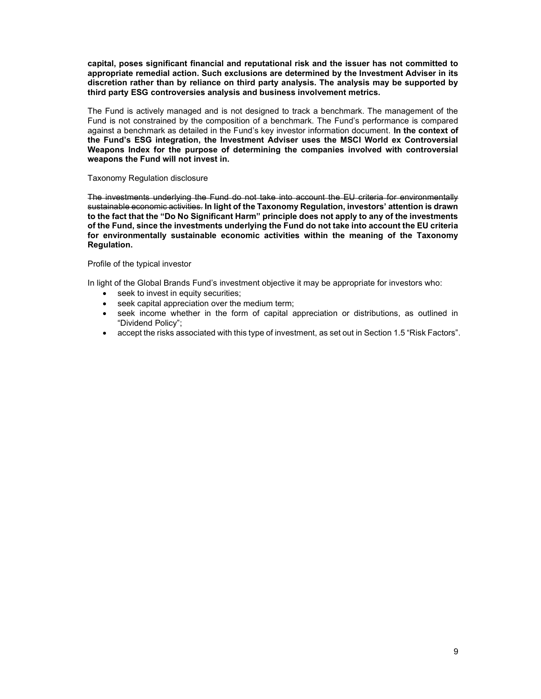capital, poses significant financial and reputational risk and the issuer has not committed to appropriate remedial action. Such exclusions are determined by the Investment Adviser in its discretion rather than by reliance on third party analysis. The analysis may be supported by third party ESG controversies analysis and business involvement metrics.

The Fund is actively managed and is not designed to track a benchmark. The management of the Fund is not constrained by the composition of a benchmark. The Fund's performance is compared against a benchmark as detailed in the Fund's key investor information document. In the context of the Fund's ESG integration, the Investment Adviser uses the MSCI World ex Controversial Weapons Index for the purpose of determining the companies involved with controversial weapons the Fund will not invest in.

#### Taxonomy Regulation disclosure

The investments underlying the Fund do not take into account the EU criteria for environmentally sustainable economic activities. In light of the Taxonomy Regulation, investors' attention is drawn to the fact that the "Do No Significant Harm" principle does not apply to any of the investments of the Fund, since the investments underlying the Fund do not take into account the EU criteria for environmentally sustainable economic activities within the meaning of the Taxonomy Regulation.

#### Profile of the typical investor

In light of the Global Brands Fund's investment objective it may be appropriate for investors who:

- seek to invest in equity securities;
- seek capital appreciation over the medium term;
- seek income whether in the form of capital appreciation or distributions, as outlined in "Dividend Policy";
- accept the risks associated with this type of investment, as set out in Section 1.5 "Risk Factors".